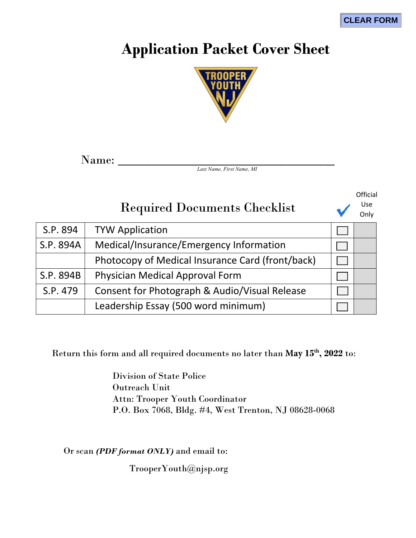# **Application Packet Cover Sheet**



Name: \_\_\_\_\_\_\_\_\_\_\_\_\_\_\_\_\_\_\_\_\_\_\_\_\_\_\_\_\_

*Last Name, First Name, MI*

# Required Documents Checklist

**Official** Use

| use  |  |
|------|--|
| Only |  |

| S.P. 894  | <b>TYW Application</b>                           |  |
|-----------|--------------------------------------------------|--|
| S.P. 894A | Medical/Insurance/Emergency Information          |  |
|           | Photocopy of Medical Insurance Card (front/back) |  |
| S.P. 894B | Physician Medical Approval Form                  |  |
| S.P. 479  | Consent for Photograph & Audio/Visual Release    |  |
|           | Leadership Essay (500 word minimum)              |  |

Return this form and all required documents no later than **May 15th, 2022** to:

Division of State Police Outreach Unit Attn: Trooper Youth Coordinator P.O. Box 7068, Bldg. #4, West Trenton, NJ 08628-0068

Or scan *(PDF format ONLY)* and email to:

TrooperYouth@njsp.org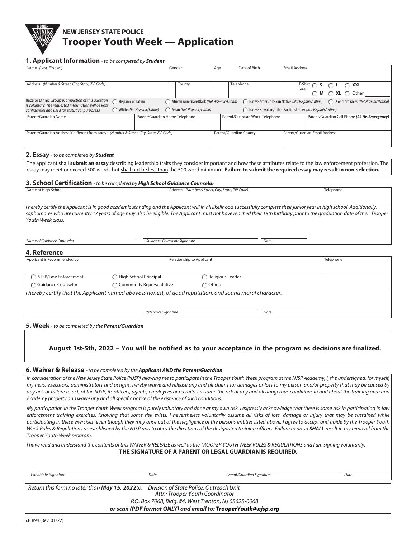# **NEW JERSEY STATE POLICE Trooper Youth Week — Application**

### **1. Applicant Information** - to be completed by **Student**

| . .                                                                                                       |                    |                                |        |                                              |     |                                                                                             |                      |                                                                                                                                                                                                               |                                               |  |
|-----------------------------------------------------------------------------------------------------------|--------------------|--------------------------------|--------|----------------------------------------------|-----|---------------------------------------------------------------------------------------------|----------------------|---------------------------------------------------------------------------------------------------------------------------------------------------------------------------------------------------------------|-----------------------------------------------|--|
| Name (Last, First, MI)                                                                                    |                    |                                | Gender |                                              | Age | Date of Birth                                                                               | <b>Email Address</b> |                                                                                                                                                                                                               |                                               |  |
|                                                                                                           |                    |                                |        |                                              |     |                                                                                             |                      |                                                                                                                                                                                                               |                                               |  |
| Address (Number & Street, City, State, ZIP Code)                                                          |                    |                                | County |                                              |     | Telephone                                                                                   |                      |                                                                                                                                                                                                               |                                               |  |
|                                                                                                           |                    |                                |        |                                              |     |                                                                                             |                      | $\begin{array}{ccc}\nT\text{-Shift} & \bigcirc & \text{S} & \bigcirc & \text{L} & \bigcirc & \text{XXL} \\ \text{Size} & & \bigcirc & \text{M} & \bigcirc & \text{XL} & \bigcirc & \text{other}\n\end{array}$ |                                               |  |
| Race or Ethnic Group (Completion of this question<br>is voluntary. The requested information will be kept | Hispanic or Latino |                                |        | African American/Black (Not Hispanic/Latino) |     | ( Native Amer./Alaskan Native (Not Hispanic/Latino) ( 2 or more races (Not Hispanic/Latino) |                      |                                                                                                                                                                                                               |                                               |  |
| confidential and used for statistical purposes.)                                                          |                    | White (Not Hispanic/Latino)    |        | Asian (Not Hispanic/Latino)                  |     | Native Hawaiian/Other Pacific Islander (Not Hispanic/Latino)                                |                      |                                                                                                                                                                                                               |                                               |  |
| Parent/Guardian Name                                                                                      |                    | Parent/Guardian Home Telephone |        |                                              |     | Parent/Guardian Work Telephone                                                              |                      |                                                                                                                                                                                                               | Parent/Guardian Cell Phone (24 Hr. Emergency) |  |
|                                                                                                           |                    |                                |        |                                              |     |                                                                                             |                      |                                                                                                                                                                                                               |                                               |  |
| Parent/Guardian Address if different from above (Number & Street, City, State, ZIP Code)                  |                    |                                |        |                                              |     | Parent/Guardian County                                                                      |                      | Parent/Guardian Email Address                                                                                                                                                                                 |                                               |  |
|                                                                                                           |                    |                                |        |                                              |     |                                                                                             |                      |                                                                                                                                                                                                               |                                               |  |
|                                                                                                           |                    |                                |        |                                              |     |                                                                                             |                      |                                                                                                                                                                                                               |                                               |  |

#### **2. Essay** - to be completed by **Student**

The applicant shall **submit an essay** describing leadership traits they consider important and how these attributes relate to the law enforcement profession. The essay may meet or exceed 500 words but shall not be less than the 500 word minimum. **Failure to submit the required essay may result in non-selection.**

### **3. School Certification** - to be completed by **High School Guidance Counselor**

Name of Guidance Counselor **Counselor** Cuidance Counselor Signature Counselor Signature Date Date

| Address (Number & Street, City, State, ZIP Code)                                                                                                                           | Telephone                                                                                                                                                                |
|----------------------------------------------------------------------------------------------------------------------------------------------------------------------------|--------------------------------------------------------------------------------------------------------------------------------------------------------------------------|
|                                                                                                                                                                            |                                                                                                                                                                          |
|                                                                                                                                                                            |                                                                                                                                                                          |
| I hereby certify the Applicant is in good academic standing and the Applicant will in all likelihood successfully complete their junior year in high school. Additionally, |                                                                                                                                                                          |
|                                                                                                                                                                            |                                                                                                                                                                          |
|                                                                                                                                                                            |                                                                                                                                                                          |
|                                                                                                                                                                            |                                                                                                                                                                          |
|                                                                                                                                                                            | sophomores who are currently 17 years of age may also be eligible. The Applicant must not have reached their 18th birthday prior to the graduation date of their Trooper |

#### **4. Reference**

| Applicant is Recommended by |                            | Relationship to Applicant                                                                                 |      | Telephone |
|-----------------------------|----------------------------|-----------------------------------------------------------------------------------------------------------|------|-----------|
| ◯ NJSP/Law Enforcement      | High School Principal      | Religious Leader                                                                                          |      |           |
| <b>C</b> Guidance Counselor | ◯ Community Representative | $\bigcap$ Other:                                                                                          |      |           |
|                             |                            | I hereby certify that the Applicant named above is honest, of good reputation, and sound moral character. |      |           |
|                             |                            |                                                                                                           |      |           |
|                             | Reference Signature        |                                                                                                           | Date |           |

**5. Week** - to be completed by the **Parent/Guardian**

**August 1st-5th, 2022 – You will be notified as to your acceptance in the program as decisions are finalized.**

#### **6. Waiver & Release** - to be completed by the **Applicant AND the Parent/Guardian**

In consideration of the New Jersey State Police (NJSP) allowing me to participate in the Trooper Youth Week program at the NJSP Academy, I, the undersigned, for myself, my heirs, executors, administrators and assigns, hereby waive and release any and all claims for damages or loss to my person and/or property that may be caused by any act, or failure to act, of the NJSP, its officers, agents, employees or recruits. I assume the risk of any and all dangerous conditions in and about the training area and Academy property and waive any and all specific notice of the existence of such conditions.

My participation in the Trooper Youth Week program is purely voluntary and done at my own risk. I expressly acknowledge that there is some risk in participating in law enforcement training exercises. Knowing that some risk exists, I nevertheless voluntarily assume all risks of loss, damage or injury that may be sustained while participating in these exercises, even though they may arise out of the negligence of the persons entities listed above. I agree to accept and abide by the Trooper Youth Week Rules & Regulations as established by the NJSP and to obey the directions of the designated training officers. Failure to do so **SHALL** result in my removal from the Trooper Youth Week program.

I have read and understand the contents of this WAIVER & RELEASE as well as the TROOPER YOUTH WEEK RULES & REGULATIONS and I am signing voluntarily. **THE SIGNATURE OF A PARENT OR LEGAL GUARDIAN IS REQUIRED.**

| Candidate Signature                                                                            | Date                                                          | Parent/Guardian Signature | Date |
|------------------------------------------------------------------------------------------------|---------------------------------------------------------------|---------------------------|------|
| Return this form no later than <b>May 15, 2022</b> to: Division of State Police, Outreach Unit | Attn: Trooper Youth Coordinator                               |                           |      |
|                                                                                                | P.O. Box 7068, Bldg. #4, West Trenton, NJ 08628-0068          |                           |      |
|                                                                                                | or scan (PDF format ONLY) and email to: TrooperYouth@nisp.org |                           |      |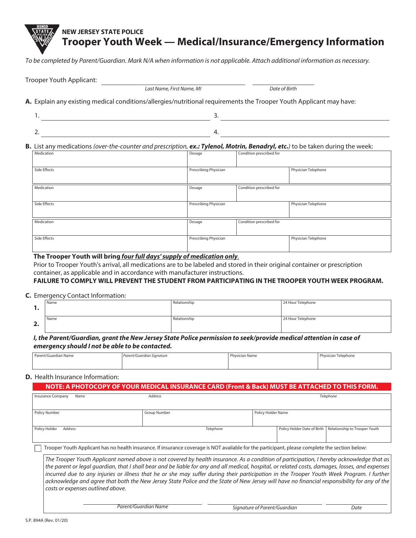# **NEW JERSEY STATE POLICE Trooper Youth Week — Medical/Insurance/Emergency Information**

To be completed by Parent/Guardian. Mark N/A when information is not applicable. Attach additional information as necessary.

| Last Name, First Name, MI                                                                                           | Date of Birth |
|---------------------------------------------------------------------------------------------------------------------|---------------|
| A. Explain any existing medical conditions/allergies/nutritional requirements the Trooper Youth Applicant may have: |               |
|                                                                                                                     |               |
| 4                                                                                                                   |               |

| Medication   | Dosage                | Condition prescribed for |                     |
|--------------|-----------------------|--------------------------|---------------------|
| Side Effects | Prescribing Physician |                          | Physician Telephone |
| Medication   | Dosage                | Condition prescribed for |                     |
| Side Effects | Prescribing Physician |                          | Physician Telephone |
| Medication   | Dosage                | Condition prescribed for |                     |
| Side Effects | Prescribing Physician |                          | Physician Telephone |

### **The Trooper Youth will bring** *four full days' supply of medication only*.

Prior to Trooper Youth's arrival, all medications are to be labeled and stored in their original container or prescription container, as applicable and in accordance with manufacturer instructions.

## **FAILURE TO COMPLY WILL PREVENT THE STUDENT FROM PARTICIPATING IN THE TROOPER YOUTH WEEK PROGRAM.**

**C.** Emergency Contact Information:

Trooper Youth Applicant:

| . .     | Name | Relationship | 24 Hour Telephone |
|---------|------|--------------|-------------------|
| -<br>–… | Name | Relationship | 24 Hour Telephone |

*I, the Parent/Guardian, grant the New Jersey State Police permission to seek/provide medical attention in case of emergency should I not be able to be contacted.*

| Parent/Guardian Name | Parent/Guardian Signature | <b>Physician Name</b> | Physician Telephone |
|----------------------|---------------------------|-----------------------|---------------------|
|                      |                           |                       |                     |

### **D.** Health Insurance Information:

### **NOTE: A PHOTOCOPY OF YOUR MEDICAL INSURANCE CARD (Front & Back) MUST BE ATTACHED TO THIS FORM.**

| <b>Insurance Company</b><br>Name | <b>Address</b>                                                                                                                                  |                    | Telephone                                                   |
|----------------------------------|-------------------------------------------------------------------------------------------------------------------------------------------------|--------------------|-------------------------------------------------------------|
| Policy Number                    | Group Number                                                                                                                                    | Policy Holder Name |                                                             |
| Policy Holder<br>Address         | Telephone                                                                                                                                       |                    | Policy Holder Date of Birth   Relationship to Trooper Youth |
|                                  | Trooper Youth Applicant has no health insurance. If insurance coverage is NOT available for the participant, please complete the section below: |                    |                                                             |

The Trooper Youth Applicant named above is not covered by health insurance. As a condition of participation, I hereby acknowledge that as the parent or legal guardian, that I shall bear and be liable for any and all medical, hospital, or related costs, damages, losses, and expenses incurred due to any injuries or illness that he or she may suffer during their participation in the Trooper Youth Week Program. I further acknowledge and agree that both the New Jersey State Police and the State of New Jersey will have no financial responsibility for any of the costs or expenses outlined above.

Parent/Guardian Name **Signature of Parent/Guardian** Date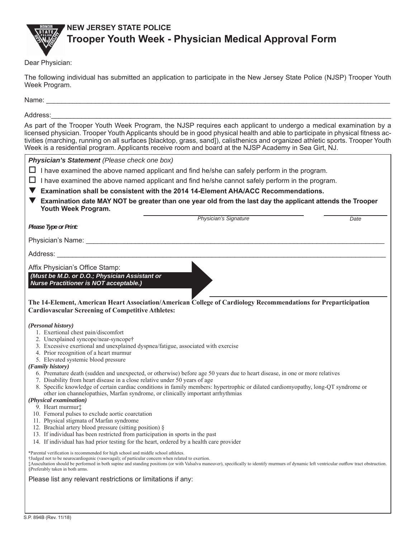

## **NEW JERSEY STATE POLICE Trooper Youth Week - Physician Medical Approval Form**

Dear Physician:

The following individual has submitted an application to participate in the New Jersey State Police (NJSP) Trooper Youth Week Program.

Name: \_\_\_\_\_\_\_\_\_\_\_\_\_\_\_\_\_\_\_\_\_\_\_\_\_\_\_\_\_\_\_\_\_\_\_\_\_\_\_\_\_\_\_\_\_\_\_\_\_\_\_\_\_\_\_\_\_\_\_\_\_\_\_\_\_\_\_\_\_\_\_\_\_\_\_\_\_\_\_\_\_\_\_\_\_\_\_\_\_\_\_

### Address:\_\_\_\_\_\_\_\_\_\_\_\_\_\_\_\_\_\_\_\_\_\_\_\_\_\_\_\_\_\_\_\_\_\_\_\_\_\_\_\_\_\_\_\_\_\_\_\_\_\_\_\_\_\_\_\_\_\_\_\_\_\_\_\_\_\_\_\_\_\_\_\_\_\_\_\_\_\_\_\_\_\_\_\_\_\_\_\_\_\_

As part of the Trooper Youth Week Program, the NJSP requires each applicant to undergo a medical examination by a licensed physician. Trooper Youth Applicants should be in good physical health and able to participate in physical fitness activities (marching, running on all surfaces [blacktop, grass, sand]), calisthenics and organized athletic sports. Trooper Youth Week is a residential program. Applicants receive room and board at the NJSP Academy in Sea Girt, NJ.

| Physician's Statement (Please check one box)                                                                                                                                                                                                                                                                                                                                                                                                                                                                                                                                                                                                                                                                                                                                                                                                                                                                                                                                                                                                                                                                             |
|--------------------------------------------------------------------------------------------------------------------------------------------------------------------------------------------------------------------------------------------------------------------------------------------------------------------------------------------------------------------------------------------------------------------------------------------------------------------------------------------------------------------------------------------------------------------------------------------------------------------------------------------------------------------------------------------------------------------------------------------------------------------------------------------------------------------------------------------------------------------------------------------------------------------------------------------------------------------------------------------------------------------------------------------------------------------------------------------------------------------------|
| I have examined the above named applicant and find he/she can safely perform in the program.                                                                                                                                                                                                                                                                                                                                                                                                                                                                                                                                                                                                                                                                                                                                                                                                                                                                                                                                                                                                                             |
| I have examined the above named applicant and find he/she cannot safely perform in the program.<br>ப                                                                                                                                                                                                                                                                                                                                                                                                                                                                                                                                                                                                                                                                                                                                                                                                                                                                                                                                                                                                                     |
| Examination shall be consistent with the 2014 14-Element AHA/ACC Recommendations.                                                                                                                                                                                                                                                                                                                                                                                                                                                                                                                                                                                                                                                                                                                                                                                                                                                                                                                                                                                                                                        |
| Examination date MAY NOT be greater than one year old from the last day the applicant attends the Trooper<br>Youth Week Program.                                                                                                                                                                                                                                                                                                                                                                                                                                                                                                                                                                                                                                                                                                                                                                                                                                                                                                                                                                                         |
| Physician's Signature<br>Date                                                                                                                                                                                                                                                                                                                                                                                                                                                                                                                                                                                                                                                                                                                                                                                                                                                                                                                                                                                                                                                                                            |
| Please Type or Print:                                                                                                                                                                                                                                                                                                                                                                                                                                                                                                                                                                                                                                                                                                                                                                                                                                                                                                                                                                                                                                                                                                    |
| Physician's Name: Name: Name and All Physician's Name: Name and All Physician's Name and All Physician All Physician All Physician All Physician All Physician All Physician All Physician All Physician All Physician All Phy                                                                                                                                                                                                                                                                                                                                                                                                                                                                                                                                                                                                                                                                                                                                                                                                                                                                                           |
| Address: Analysis and the state of the state of the state of the state of the state of the state of the state of the state of the state of the state of the state of the state of the state of the state of the state of the s                                                                                                                                                                                                                                                                                                                                                                                                                                                                                                                                                                                                                                                                                                                                                                                                                                                                                           |
| Affix Physician's Office Stamp:                                                                                                                                                                                                                                                                                                                                                                                                                                                                                                                                                                                                                                                                                                                                                                                                                                                                                                                                                                                                                                                                                          |
| (Must be M.D. or D.O.; Physician Assistant or                                                                                                                                                                                                                                                                                                                                                                                                                                                                                                                                                                                                                                                                                                                                                                                                                                                                                                                                                                                                                                                                            |
| <b>Nurse Practitioner is NOT acceptable.)</b>                                                                                                                                                                                                                                                                                                                                                                                                                                                                                                                                                                                                                                                                                                                                                                                                                                                                                                                                                                                                                                                                            |
| The 14-Element, American Heart Association/American College of Cardiology Recommendations for Preparticipation<br><b>Cardiovascular Screening of Competitive Athletes:</b>                                                                                                                                                                                                                                                                                                                                                                                                                                                                                                                                                                                                                                                                                                                                                                                                                                                                                                                                               |
| (Personal history)<br>1. Exertional chest pain/discomfort<br>2. Unexplained syncope/near-syncope†<br>3. Excessive exertional and unexplained dyspnea/fatigue, associated with exercise<br>4. Prior recognition of a heart murmur<br>5. Elevated systemic blood pressure<br>(Family history)<br>6. Premature death (sudden and unexpected, or otherwise) before age 50 years due to heart disease, in one or more relatives<br>7. Disability from heart disease in a close relative under 50 years of age<br>8. Specific knowledge of certain cardiac conditions in family members: hypertrophic or dilated cardiomyopathy, long-QT syndrome or<br>other ion channelopathies, Marfan syndrome, or clinically important arrhythmias<br>(Physical examination)<br>9. Heart murmur‡<br>10. Femoral pulses to exclude aortic coarctation<br>11. Physical stigmata of Marfan syndrome<br>12. Brachial artery blood pressure (sitting position) §<br>13. If individual has been restricted from participation in sports in the past<br>14. If individual has had prior testing for the heart, ordered by a health care provider |
| *Parental verification is recommended for high school and middle school athletes.<br>†Judged not to be neurocardiogenic (vasovagal); of particular concern when related to exertion.<br>Auscultation should be performed in both supine and standing positions (or with Valsalva maneuver), specifically to identify murmurs of dynamic left ventricular outflow tract obstruction.<br>§Preferably taken in both arms.                                                                                                                                                                                                                                                                                                                                                                                                                                                                                                                                                                                                                                                                                                   |
| Please list any relevant restrictions or limitations if any:                                                                                                                                                                                                                                                                                                                                                                                                                                                                                                                                                                                                                                                                                                                                                                                                                                                                                                                                                                                                                                                             |